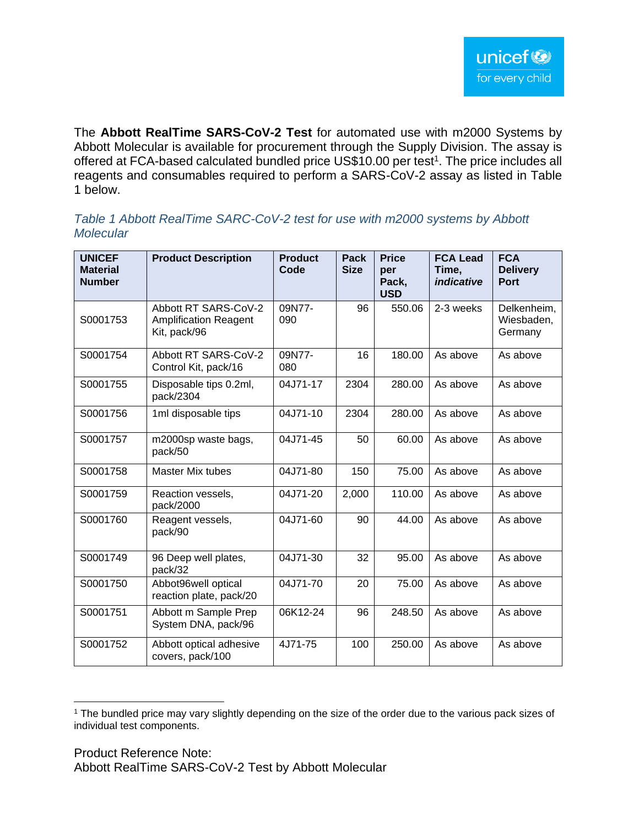The **Abbott RealTime SARS-CoV-2 Test** for automated use with m2000 Systems by Abbott Molecular is available for procurement through the Supply Division. The assay is offered at FCA-based calculated bundled price US\$10.00 per test<sup>1</sup>. The price includes all reagents and consumables required to perform a SARS-CoV-2 assay as listed in Table 1 below.

## *Table 1 Abbott RealTime SARC-CoV-2 test for use with m2000 systems by Abbott Molecular*

| <b>UNICEF</b><br><b>Material</b><br><b>Number</b> | <b>Product Description</b>                                           | <b>Product</b><br>Code | Pack<br><b>Size</b> | <b>Price</b><br>per<br>Pack,<br><b>USD</b> | <b>FCA Lead</b><br>Time,<br>indicative | <b>FCA</b><br><b>Delivery</b><br><b>Port</b> |
|---------------------------------------------------|----------------------------------------------------------------------|------------------------|---------------------|--------------------------------------------|----------------------------------------|----------------------------------------------|
| S0001753                                          | Abbott RT SARS-CoV-2<br><b>Amplification Reagent</b><br>Kit, pack/96 | 09N77-<br>090          | 96                  | 550.06                                     | 2-3 weeks                              | Delkenheim,<br>Wiesbaden,<br>Germany         |
| S0001754                                          | Abbott RT SARS-CoV-2<br>Control Kit, pack/16                         | 09N77-<br>080          | 16                  | 180.00                                     | As above                               | As above                                     |
| S0001755                                          | Disposable tips 0.2ml,<br>pack/2304                                  | 04J71-17               | 2304                | 280.00                                     | As above                               | As above                                     |
| S0001756                                          | 1ml disposable tips                                                  | 04J71-10               | 2304                | 280.00                                     | As above                               | As above                                     |
| S0001757                                          | m2000sp waste bags,<br>pack/50                                       | 04J71-45               | 50                  | 60.00                                      | As above                               | As above                                     |
| S0001758                                          | <b>Master Mix tubes</b>                                              | 04J71-80               | 150                 | 75.00                                      | As above                               | As above                                     |
| S0001759                                          | Reaction vessels,<br>pack/2000                                       | 04J71-20               | 2,000               | 110.00                                     | As above                               | As above                                     |
| S0001760                                          | Reagent vessels,<br>pack/90                                          | 04J71-60               | 90                  | 44.00                                      | As above                               | As above                                     |
| S0001749                                          | 96 Deep well plates,<br>pack/32                                      | 04J71-30               | 32                  | 95.00                                      | As above                               | As above                                     |
| S0001750                                          | Abbot96well optical<br>reaction plate, pack/20                       | 04J71-70               | 20                  | 75.00                                      | As above                               | As above                                     |
| S0001751                                          | Abbott m Sample Prep<br>System DNA, pack/96                          | 06K12-24               | 96                  | 248.50                                     | As above                               | As above                                     |
| S0001752                                          | Abbott optical adhesive<br>covers, pack/100                          | 4J71-75                | 100                 | 250.00                                     | As above                               | As above                                     |

<sup>&</sup>lt;sup>1</sup> The bundled price may vary slightly depending on the size of the order due to the various pack sizes of individual test components.